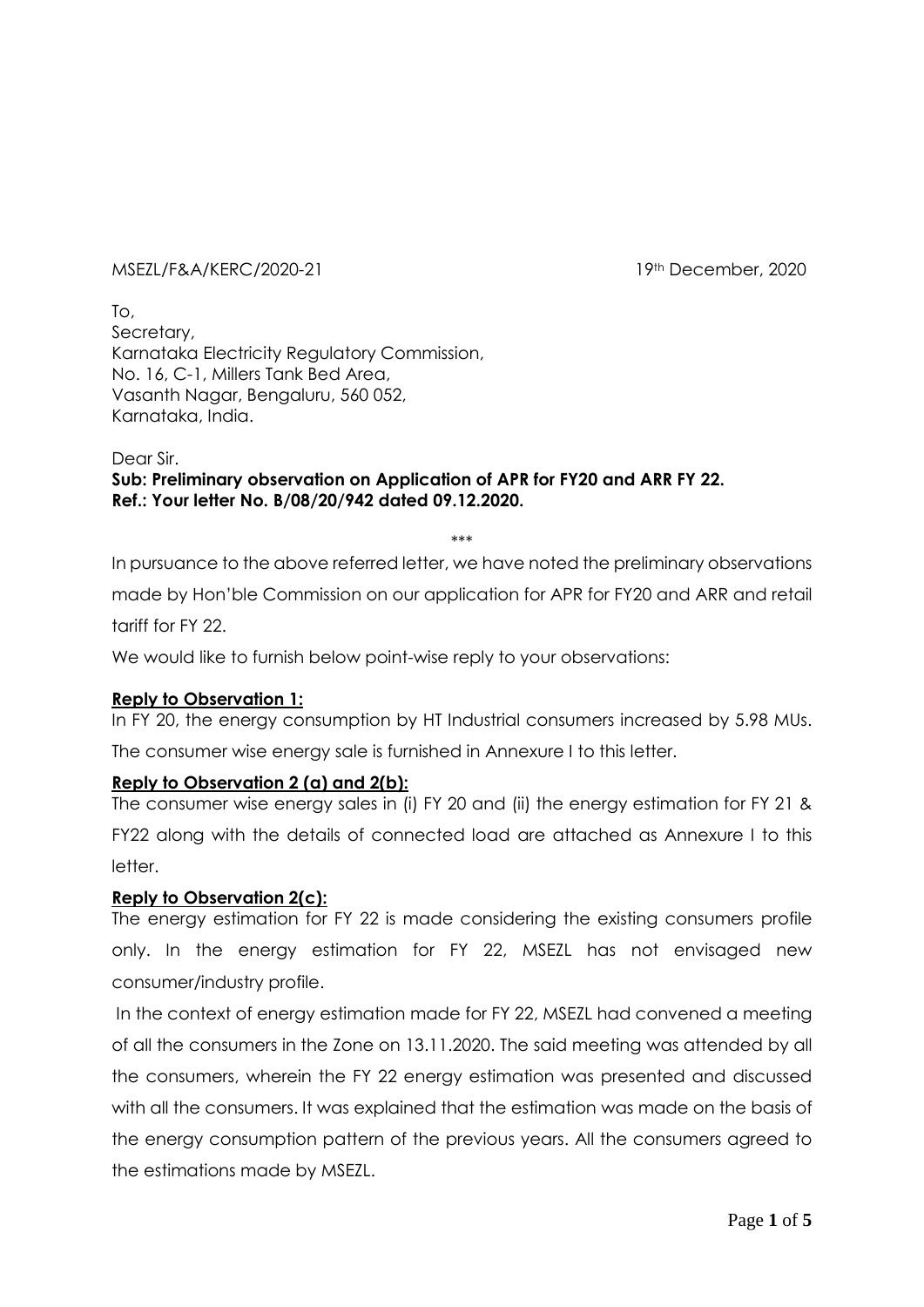#### MSEZL/F&A/KERC/2020-21 19th December, 2020

To, Secretary, Karnataka Electricity Regulatory Commission, No. 16, C-1, Millers Tank Bed Area, Vasanth Nagar, Bengaluru, 560 052, Karnataka, India.

Dear Sir.

## **Sub: Preliminary observation on Application of APR for FY20 and ARR FY 22. Ref.: Your letter No. B/08/20/942 dated 09.12.2020.**

\*\*\*

In pursuance to the above referred letter, we have noted the preliminary observations made by Hon'ble Commission on our application for APR for FY20 and ARR and retail tariff for FY 22.

We would like to furnish below point-wise reply to your observations:

#### **Reply to Observation 1:**

In FY 20, the energy consumption by HT Industrial consumers increased by 5.98 MUs. The consumer wise energy sale is furnished in Annexure I to this letter.

#### **Reply to Observation 2 (a) and 2(b):**

The consumer wise energy sales in (i) FY 20 and (ii) the energy estimation for FY 21 & FY22 along with the details of connected load are attached as Annexure I to this letter.

#### **Reply to Observation 2(c):**

The energy estimation for FY 22 is made considering the existing consumers profile only. In the energy estimation for FY 22, MSEZL has not envisaged new consumer/industry profile.

In the context of energy estimation made for FY 22, MSEZL had convened a meeting of all the consumers in the Zone on 13.11.2020. The said meeting was attended by all the consumers, wherein the FY 22 energy estimation was presented and discussed with all the consumers. It was explained that the estimation was made on the basis of the energy consumption pattern of the previous years. All the consumers agreed to the estimations made by MSEZL.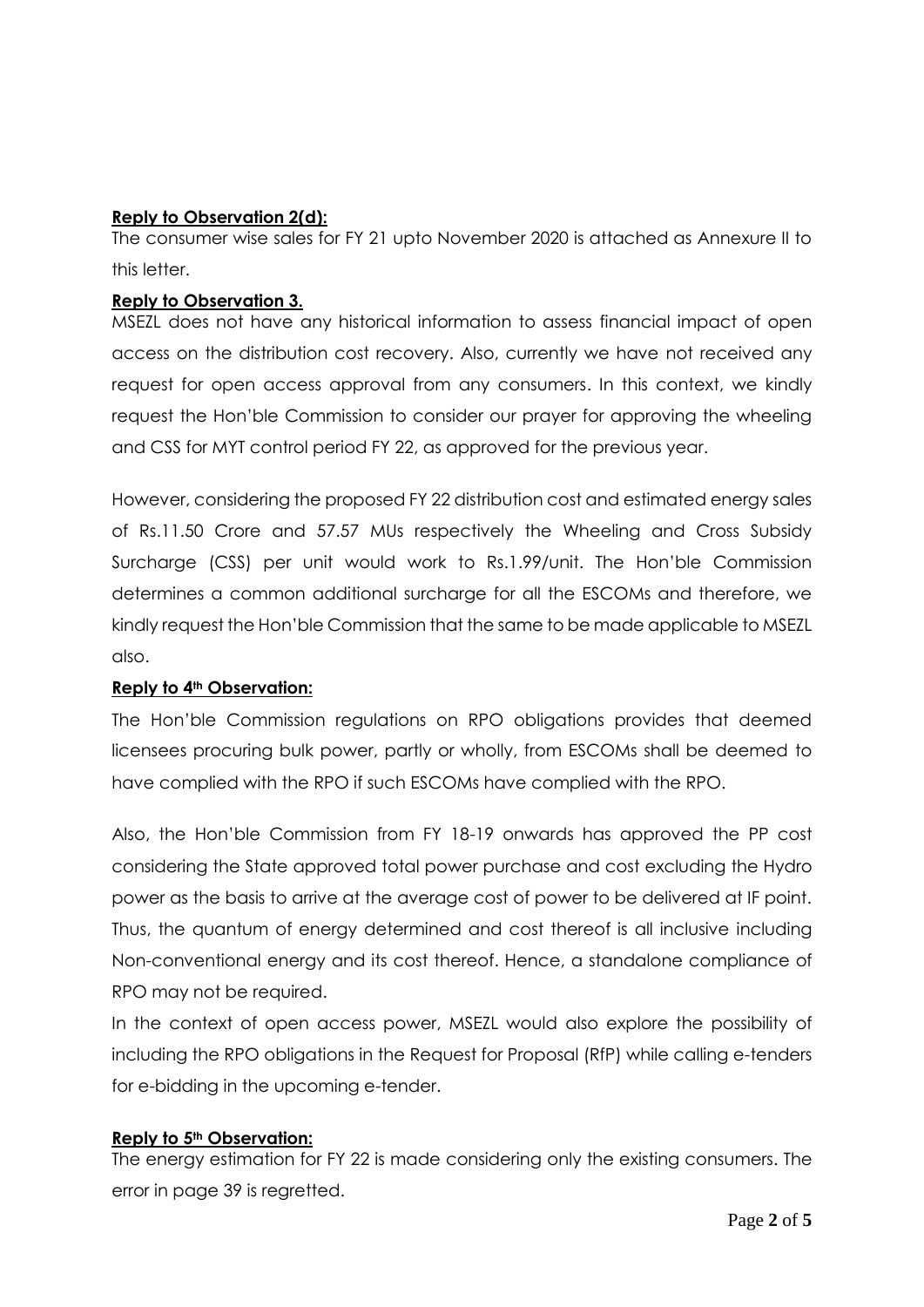### **Reply to Observation 2(d):**

The consumer wise sales for FY 21 upto November 2020 is attached as Annexure II to this letter.

#### **Reply to Observation 3.**

MSEZL does not have any historical information to assess financial impact of open access on the distribution cost recovery. Also, currently we have not received any request for open access approval from any consumers. In this context, we kindly request the Hon'ble Commission to consider our prayer for approving the wheeling and CSS for MYT control period FY 22, as approved for the previous year.

However, considering the proposed FY 22 distribution cost and estimated energy sales of Rs.11.50 Crore and 57.57 MUs respectively the Wheeling and Cross Subsidy Surcharge (CSS) per unit would work to Rs.1.99/unit. The Hon'ble Commission determines a common additional surcharge for all the ESCOMs and therefore, we kindly request the Hon'ble Commission that the same to be made applicable to MSEZL also.

## **Reply to 4th Observation:**

The Hon'ble Commission regulations on RPO obligations provides that deemed licensees procuring bulk power, partly or wholly, from ESCOMs shall be deemed to have complied with the RPO if such ESCOMs have complied with the RPO.

Also, the Hon'ble Commission from FY 18-19 onwards has approved the PP cost considering the State approved total power purchase and cost excluding the Hydro power as the basis to arrive at the average cost of power to be delivered at IF point. Thus, the quantum of energy determined and cost thereof is all inclusive including Non-conventional energy and its cost thereof. Hence, a standalone compliance of RPO may not be required.

In the context of open access power, MSEZL would also explore the possibility of including the RPO obligations in the Request for Proposal (RfP) while calling e-tenders for e-bidding in the upcoming e-tender.

#### **Reply to 5th Observation:**

The energy estimation for FY 22 is made considering only the existing consumers. The error in page 39 is regretted.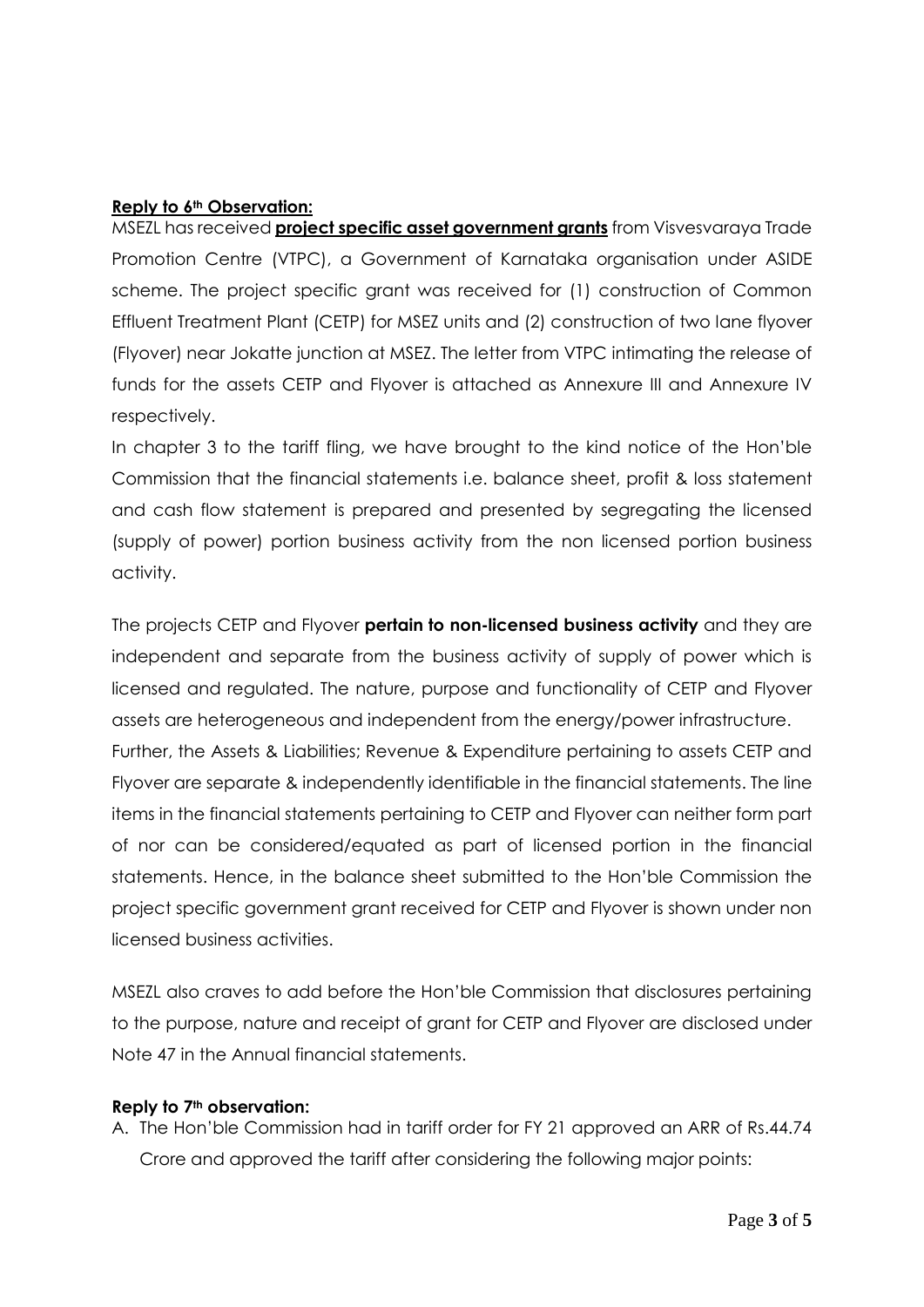#### **Reply to 6th Observation:**

MSEZL has received **project specific asset government grants** from Visvesvaraya Trade Promotion Centre (VTPC), a Government of Karnataka organisation under ASIDE scheme. The project specific grant was received for (1) construction of Common Effluent Treatment Plant (CETP) for MSEZ units and (2) construction of two lane flyover (Flyover) near Jokatte junction at MSEZ. The letter from VTPC intimating the release of funds for the assets CETP and Flyover is attached as Annexure III and Annexure IV respectively.

In chapter 3 to the tariff fling, we have brought to the kind notice of the Hon'ble Commission that the financial statements i.e. balance sheet, profit & loss statement and cash flow statement is prepared and presented by segregating the licensed (supply of power) portion business activity from the non licensed portion business activity.

The projects CETP and Flyover **pertain to non-licensed business activity** and they are independent and separate from the business activity of supply of power which is licensed and regulated. The nature, purpose and functionality of CETP and Flyover assets are heterogeneous and independent from the energy/power infrastructure.

Further, the Assets & Liabilities; Revenue & Expenditure pertaining to assets CETP and Flyover are separate & independently identifiable in the financial statements. The line items in the financial statements pertaining to CETP and Flyover can neither form part of nor can be considered/equated as part of licensed portion in the financial statements. Hence, in the balance sheet submitted to the Hon'ble Commission the project specific government grant received for CETP and Flyover is shown under non licensed business activities.

MSEZL also craves to add before the Hon'ble Commission that disclosures pertaining to the purpose, nature and receipt of grant for CETP and Flyover are disclosed under Note 47 in the Annual financial statements.

#### **Reply to 7th observation:**

A. The Hon'ble Commission had in tariff order for FY 21 approved an ARR of Rs.44.74 Crore and approved the tariff after considering the following major points: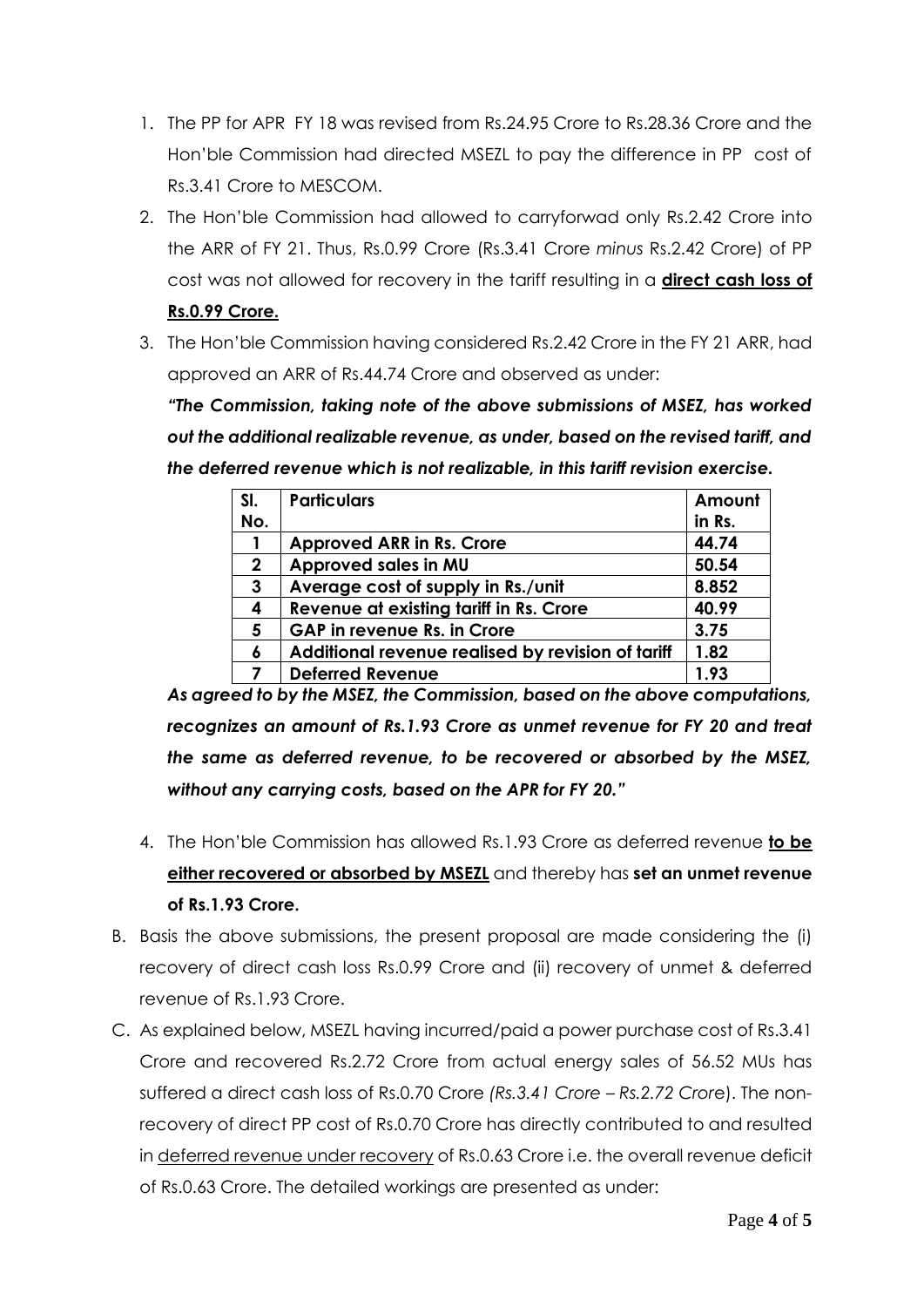- 1. The PP for APR FY 18 was revised from Rs.24.95 Crore to Rs.28.36 Crore and the Hon'ble Commission had directed MSEZL to pay the difference in PP cost of Rs.3.41 Crore to MESCOM.
- 2. The Hon'ble Commission had allowed to carryforwad only Rs.2.42 Crore into the ARR of FY 21. Thus, Rs.0.99 Crore (Rs.3.41 Crore *minus* Rs.2.42 Crore) of PP cost was not allowed for recovery in the tariff resulting in a **direct cash loss of**

## **Rs.0.99 Crore.**

3. The Hon'ble Commission having considered Rs.2.42 Crore in the FY 21 ARR, had approved an ARR of Rs.44.74 Crore and observed as under:

*"The Commission, taking note of the above submissions of MSEZ, has worked out the additional realizable revenue, as under, based on the revised tariff, and the deferred revenue which is not realizable, in this tariff revision exercise.*

| SI.          | <b>Particulars</b>                                | Amount |
|--------------|---------------------------------------------------|--------|
| No.          |                                                   | in Rs. |
|              | <b>Approved ARR in Rs. Crore</b>                  | 44.74  |
| $\mathbf{2}$ | Approved sales in MU                              | 50.54  |
| 3            | Average cost of supply in Rs./unit                | 8.852  |
| 4            | Revenue at existing tariff in Rs. Crore           | 40.99  |
| 5            | <b>GAP</b> in revenue Rs. in Crore                | 3.75   |
| 6            | Additional revenue realised by revision of tariff | 1.82   |
|              | <b>Deferred Revenue</b>                           | 1.93   |

*As agreed to by the MSEZ, the Commission, based on the above computations, recognizes an amount of Rs.1.93 Crore as unmet revenue for FY 20 and treat the same as deferred revenue, to be recovered or absorbed by the MSEZ, without any carrying costs, based on the APR for FY 20."*

- 4. The Hon'ble Commission has allowed Rs.1.93 Crore as deferred revenue **to be either recovered or absorbed by MSEZL** and thereby has **set an unmet revenue of Rs.1.93 Crore.**
- B. Basis the above submissions, the present proposal are made considering the (i) recovery of direct cash loss Rs.0.99 Crore and (ii) recovery of unmet & deferred revenue of Rs.1.93 Crore.
- C. As explained below, MSEZL having incurred/paid a power purchase cost of Rs.3.41 Crore and recovered Rs.2.72 Crore from actual energy sales of 56.52 MUs has suffered a direct cash loss of Rs.0.70 Crore *(Rs.3.41 Crore – Rs.2.72 Cror*e). The nonrecovery of direct PP cost of Rs.0.70 Crore has directly contributed to and resulted in deferred revenue under recovery of Rs.0.63 Crore i.e. the overall revenue deficit of Rs.0.63 Crore. The detailed workings are presented as under: